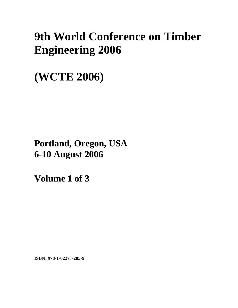# **9th World Conference on Timber Engineering 2006**

**(WCTE 2006)** 

**Portland, Oregon, USA 6-10 August 2006**

**Volume 1 of 3** 

**ISBN: 978-1-6227-285-9**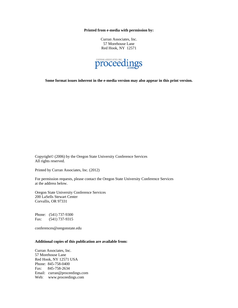**Printed from e-media with permission by:** 

Curran Associates, Inc. 57 Morehouse Lane Red Hook, NY 12571



**Some format issues inherent in the e-media version may also appear in this print version.** 

Copyright© (2006) by the Oregon State University Conference Services All rights reserved.

Printed by Curran Associates, Inc. (2012)

For permission requests, please contact the Oregon State University Conference Services at the address below.

Oregon State University Conference Services 200 LaSells Stewart Center Corvallis, OR 97331

Phone: (541) 737-9300 Fax: (541) 737-9315

conferences@oregonstate.edu

#### **Additional copies of this publication are available from:**

Curran Associates, Inc. 57 Morehouse Lane Red Hook, NY 12571 USA Phone: 845-758-0400 Fax: 845-758-2634 Email: curran@proceedings.com Web: www.proceedings.com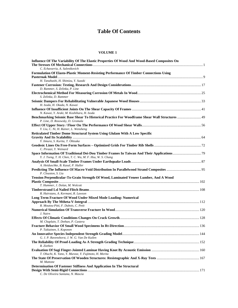## **Table Of Contents**

#### **VOLUME 1**

| Influence Of The Variability Of The Elastic Properties Of Wood And Wood-Based Composites On<br>C. Echavarria, A. Salenikovich             |  |
|-------------------------------------------------------------------------------------------------------------------------------------------|--|
| Formulation Of Elasto-Plastic Moment-Resisting Performance Of Timber Connections Using                                                    |  |
| H. Tanahashi, H. Shimizu, Y. Suzuki                                                                                                       |  |
|                                                                                                                                           |  |
| D. Rammer, S. Zelinka, P. Line                                                                                                            |  |
| S. Zelinka, D. Rammer                                                                                                                     |  |
|                                                                                                                                           |  |
| H. Isoda, H. Okada, N. Kawai                                                                                                              |  |
|                                                                                                                                           |  |
| N. Kawai, Y. Araki, M. Koshihara, H. Isoda                                                                                                |  |
| <b>Benchmarking Seismic Base Shear To Historical Practice For Woodframe Shear Wall Structures  49</b><br>P. Line, D. Rosowsky, D. Gromala |  |
| Y. Liu, C. Ni, H. Rainer, L. Wensheng                                                                                                     |  |
| Reticulated Timber Dome Structural System Using Glulam With A Low Specific                                                                |  |
|                                                                                                                                           |  |
| Y. Iimura, S. Kurita, T. Ohtsuka                                                                                                          |  |
| C. Pirazzi, Y. Weinard                                                                                                                    |  |
|                                                                                                                                           |  |
| Y. J. Tseng, T. H. Chen, T. C. Wu, M. F. Hsu, W. S. Chang                                                                                 |  |
| A. Heiduschke, B. Kasal, P. Haller                                                                                                        |  |
| P. Clouston, S. Liu                                                                                                                       |  |
| Tension Perpendicular-To-Grain Strength Of Wood, Laminated Veneer Lumber, And A Wood                                                      |  |
| T. Hummer, J. Dolan, M. Wolcott                                                                                                           |  |
|                                                                                                                                           |  |
| R. Hairstans, A. Kermani, R. Lawson                                                                                                       |  |
| Long Term Fracture Of Wood Under Mixed Mode Loading: Numerical                                                                            |  |
| R. Moutou-Pitti, F. Dubois, C. Petit                                                                                                      |  |
| J. Nairn                                                                                                                                  |  |
|                                                                                                                                           |  |
| M. Chaplain, T. Dethan, P. Castera                                                                                                        |  |
| P. Tukiainen, S. Koponen                                                                                                                  |  |
| G. J. P. Ravenshorst, J. W. G. Van De Kuilen                                                                                              |  |
| R. Ziethen                                                                                                                                |  |
| T. Ohuchi, K. Yano, Y. Murase, Y. Fujimoto, H. Morita                                                                                     |  |
| M. Mattone                                                                                                                                |  |
| Determination Of Fastener Stiffness And Application In The Structural<br>C. De Oliveira Santana, N. Mascia                                |  |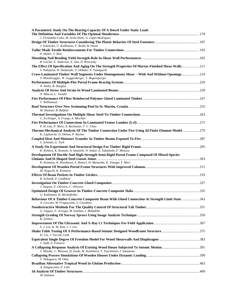| A Parametric Study On The Bearing Capacity Of A Dowel Under Static Load:                                                                                 |  |
|----------------------------------------------------------------------------------------------------------------------------------------------------------|--|
| J. Fernandez-Cabo, M. Avila-Nieto, G. Lopez-Rodriguez                                                                                                    |  |
| J. Schanzlin, U. Kuhlmann, F. Bruhl, B. Deam                                                                                                             |  |
| P. Haller, T. Birk                                                                                                                                       |  |
| R. Leichti, E. Anderson, E. Sutt, D. Rosowsky                                                                                                            |  |
| The Effect Of Specification And Aging On The Strength Properties Of Mortar-Finished Shear Walls 211<br>S. Nakajima, H. Hamasaki, T. Ohkubo, N. Yamaguchi |  |
| Cross-Laminated Timber Wall Segments Under Homogeneous Shear - With And Without Openings 219<br>T. Moosbrugger, W. Guggenberger, T. Bogensperger         |  |
| N. Waltz, B. Douglas                                                                                                                                     |  |
| N. Mascia, L. Vanalli                                                                                                                                    |  |
| T. Williamson                                                                                                                                            |  |
| M. Haiman, B. Baljkas                                                                                                                                    |  |
| C. Erchinger, A. Frangi, A. Mischler                                                                                                                     |  |
| P. H. Lau, P. Moss, A. Buchanan, T. C. Chuo                                                                                                              |  |
| Thermo-Mechanical Analysis Of The Timber Connection Under Fire Using 3d Finite Element Model  279<br>K. Laplanche, D. Dhima, P. Racher                   |  |
| S. Schnabl, G. Turk                                                                                                                                      |  |
| K. Kohara, K. Komoto, A. Imanishi, N. Nakai, A. Takahashi, F. Misawa                                                                                     |  |
| Development Of Ductile And High-Strength Semi-Rigid Portal Frame Composed Of Mixed-Species                                                               |  |
| K. Komatsu, K. Hosokawa, S. Hattori, H. Matsuoka, K. Yanaga, T. Mori                                                                                     |  |
| M. Noguchi, K. Komatsu                                                                                                                                   |  |
| R. Schmidt, P. Lindblom                                                                                                                                  |  |
| J. Negrao, F. Oliveira, C. Oliveira                                                                                                                      |  |
| U. Kuhlmann, B. Michelfelder                                                                                                                             |  |
| Behaviour Of A Timber-Concrete Composite Beam With Glued Connection At Strength Limit State  343<br>A. Ceccotti, M. Fragiacomo, S. Giordano              |  |
| G. Iniguez, F. Arriaga, M. Esteban, I. Bobadilla                                                                                                         |  |
| R. Ziethen                                                                                                                                               |  |
| S. J. Lee, K. M. Kim, J. J. Lee                                                                                                                          |  |
| H. Liu, J. Van De Lindt                                                                                                                                  |  |
| J. Judd, F. Fonseca                                                                                                                                      |  |
| T. Miyake, C. Minowa, H. Isoda, M. Koshihara, T. Tsuchimoto, I. Sakamoto                                                                                 |  |
| T. Nakagawa, M. Ohta                                                                                                                                     |  |
| A. Zangiacomo, F. Lahr                                                                                                                                   |  |
| M. Haiman                                                                                                                                                |  |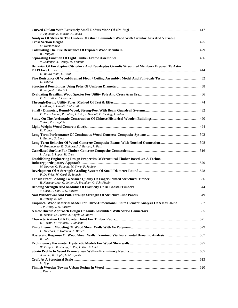| Y. Fujimoto, H. Morita, Y. Iimura<br>Analysis Of Stress At The Girders Of Glued Laminated Wood With Circular Axis And Variable<br>M. Komnenovic<br><b>B.</b> Douglas<br>V. Schleifer, A. Frangi, M. Fontana<br>Behavior Of Eucalyptus Citriodora And Eucalyptus Grandis Structural Members Exposed To Astm<br>E. Moura Pinto, C. Calil<br>H. Takeda.<br>B. Walford, J. Reelick<br>D. Carradine, J. Gonzalez<br>L. Elkins, R. Leichti, J. Morrell<br>D. Kretschmann, R. Faller, J. Reid, J. Hascall, D. Sicking, J. Rohde<br>Y. Kan, Z. Hong-Tie<br>K. Kreher<br>L. Bathon, O. Bletz<br>M. Fragiacomo, R. Gutkowski, J. Balogh, R. Fast<br>L. Jorge, S. Lopes, H. Cruz<br>Establishing Engineering Design Properties Of Structural Timber Based On A Techno-<br>M. Nguyen, G. Foliente, M. Syme, P. Juniper<br>P. De Vries, W. Gard, R. Schuch<br>R. Katzengruber, G. Jeitler, R. Brandner, G. Schickhofer<br>Y. Chen, F. Lam, J. D. Barrett<br>B. Herzog, B. Yeh<br>Empirical Wood Material Model For Three-Dimensional Finite Element Analysis Of A Nail Joint 557<br>J. P. Hong, J. D. Barrett<br>R. Tomasi, M. Piazza, A. Angeli, M. Mores<br>E. Garbin, M. Valluzzi, C. Modena<br>D. Dinehart, R. Hoffman, A. Blasetti |  |
|----------------------------------------------------------------------------------------------------------------------------------------------------------------------------------------------------------------------------------------------------------------------------------------------------------------------------------------------------------------------------------------------------------------------------------------------------------------------------------------------------------------------------------------------------------------------------------------------------------------------------------------------------------------------------------------------------------------------------------------------------------------------------------------------------------------------------------------------------------------------------------------------------------------------------------------------------------------------------------------------------------------------------------------------------------------------------------------------------------------------------------------------------------------------------------------------------------------------------|--|
|                                                                                                                                                                                                                                                                                                                                                                                                                                                                                                                                                                                                                                                                                                                                                                                                                                                                                                                                                                                                                                                                                                                                                                                                                            |  |
|                                                                                                                                                                                                                                                                                                                                                                                                                                                                                                                                                                                                                                                                                                                                                                                                                                                                                                                                                                                                                                                                                                                                                                                                                            |  |
|                                                                                                                                                                                                                                                                                                                                                                                                                                                                                                                                                                                                                                                                                                                                                                                                                                                                                                                                                                                                                                                                                                                                                                                                                            |  |
|                                                                                                                                                                                                                                                                                                                                                                                                                                                                                                                                                                                                                                                                                                                                                                                                                                                                                                                                                                                                                                                                                                                                                                                                                            |  |
|                                                                                                                                                                                                                                                                                                                                                                                                                                                                                                                                                                                                                                                                                                                                                                                                                                                                                                                                                                                                                                                                                                                                                                                                                            |  |
|                                                                                                                                                                                                                                                                                                                                                                                                                                                                                                                                                                                                                                                                                                                                                                                                                                                                                                                                                                                                                                                                                                                                                                                                                            |  |
|                                                                                                                                                                                                                                                                                                                                                                                                                                                                                                                                                                                                                                                                                                                                                                                                                                                                                                                                                                                                                                                                                                                                                                                                                            |  |
|                                                                                                                                                                                                                                                                                                                                                                                                                                                                                                                                                                                                                                                                                                                                                                                                                                                                                                                                                                                                                                                                                                                                                                                                                            |  |
|                                                                                                                                                                                                                                                                                                                                                                                                                                                                                                                                                                                                                                                                                                                                                                                                                                                                                                                                                                                                                                                                                                                                                                                                                            |  |
|                                                                                                                                                                                                                                                                                                                                                                                                                                                                                                                                                                                                                                                                                                                                                                                                                                                                                                                                                                                                                                                                                                                                                                                                                            |  |
|                                                                                                                                                                                                                                                                                                                                                                                                                                                                                                                                                                                                                                                                                                                                                                                                                                                                                                                                                                                                                                                                                                                                                                                                                            |  |
|                                                                                                                                                                                                                                                                                                                                                                                                                                                                                                                                                                                                                                                                                                                                                                                                                                                                                                                                                                                                                                                                                                                                                                                                                            |  |
|                                                                                                                                                                                                                                                                                                                                                                                                                                                                                                                                                                                                                                                                                                                                                                                                                                                                                                                                                                                                                                                                                                                                                                                                                            |  |
|                                                                                                                                                                                                                                                                                                                                                                                                                                                                                                                                                                                                                                                                                                                                                                                                                                                                                                                                                                                                                                                                                                                                                                                                                            |  |
|                                                                                                                                                                                                                                                                                                                                                                                                                                                                                                                                                                                                                                                                                                                                                                                                                                                                                                                                                                                                                                                                                                                                                                                                                            |  |
|                                                                                                                                                                                                                                                                                                                                                                                                                                                                                                                                                                                                                                                                                                                                                                                                                                                                                                                                                                                                                                                                                                                                                                                                                            |  |
|                                                                                                                                                                                                                                                                                                                                                                                                                                                                                                                                                                                                                                                                                                                                                                                                                                                                                                                                                                                                                                                                                                                                                                                                                            |  |
|                                                                                                                                                                                                                                                                                                                                                                                                                                                                                                                                                                                                                                                                                                                                                                                                                                                                                                                                                                                                                                                                                                                                                                                                                            |  |
|                                                                                                                                                                                                                                                                                                                                                                                                                                                                                                                                                                                                                                                                                                                                                                                                                                                                                                                                                                                                                                                                                                                                                                                                                            |  |
|                                                                                                                                                                                                                                                                                                                                                                                                                                                                                                                                                                                                                                                                                                                                                                                                                                                                                                                                                                                                                                                                                                                                                                                                                            |  |
|                                                                                                                                                                                                                                                                                                                                                                                                                                                                                                                                                                                                                                                                                                                                                                                                                                                                                                                                                                                                                                                                                                                                                                                                                            |  |
|                                                                                                                                                                                                                                                                                                                                                                                                                                                                                                                                                                                                                                                                                                                                                                                                                                                                                                                                                                                                                                                                                                                                                                                                                            |  |
|                                                                                                                                                                                                                                                                                                                                                                                                                                                                                                                                                                                                                                                                                                                                                                                                                                                                                                                                                                                                                                                                                                                                                                                                                            |  |
|                                                                                                                                                                                                                                                                                                                                                                                                                                                                                                                                                                                                                                                                                                                                                                                                                                                                                                                                                                                                                                                                                                                                                                                                                            |  |
|                                                                                                                                                                                                                                                                                                                                                                                                                                                                                                                                                                                                                                                                                                                                                                                                                                                                                                                                                                                                                                                                                                                                                                                                                            |  |
|                                                                                                                                                                                                                                                                                                                                                                                                                                                                                                                                                                                                                                                                                                                                                                                                                                                                                                                                                                                                                                                                                                                                                                                                                            |  |
|                                                                                                                                                                                                                                                                                                                                                                                                                                                                                                                                                                                                                                                                                                                                                                                                                                                                                                                                                                                                                                                                                                                                                                                                                            |  |
|                                                                                                                                                                                                                                                                                                                                                                                                                                                                                                                                                                                                                                                                                                                                                                                                                                                                                                                                                                                                                                                                                                                                                                                                                            |  |
| B. Folz                                                                                                                                                                                                                                                                                                                                                                                                                                                                                                                                                                                                                                                                                                                                                                                                                                                                                                                                                                                                                                                                                                                                                                                                                    |  |
| W. Pang, D. Rosowsky, S. Pei, J. Van De Lindt                                                                                                                                                                                                                                                                                                                                                                                                                                                                                                                                                                                                                                                                                                                                                                                                                                                                                                                                                                                                                                                                                                                                                                              |  |
|                                                                                                                                                                                                                                                                                                                                                                                                                                                                                                                                                                                                                                                                                                                                                                                                                                                                                                                                                                                                                                                                                                                                                                                                                            |  |
| A. Sinha, R. Gupta, L. Muszynski                                                                                                                                                                                                                                                                                                                                                                                                                                                                                                                                                                                                                                                                                                                                                                                                                                                                                                                                                                                                                                                                                                                                                                                           |  |
| G. Epp                                                                                                                                                                                                                                                                                                                                                                                                                                                                                                                                                                                                                                                                                                                                                                                                                                                                                                                                                                                                                                                                                                                                                                                                                     |  |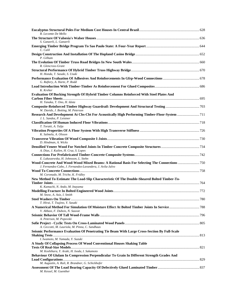| R. Lecomte De Mello                                                                                                                                                                               |  |
|---------------------------------------------------------------------------------------------------------------------------------------------------------------------------------------------------|--|
| S. Ganzerli, L. Ganzerli                                                                                                                                                                          |  |
| C. Calil                                                                                                                                                                                          |  |
| P. Gilham                                                                                                                                                                                         |  |
| R. Glencross-Grant                                                                                                                                                                                |  |
| H. Honda, T. Sasaki, S. Usuki                                                                                                                                                                     |  |
| G. Raftery, A. Harte, P. Rodd                                                                                                                                                                     |  |
| K. Kreher                                                                                                                                                                                         |  |
| <b>Evaluation Of Bucking Strength Of Hybrid Timber Columns Reinforced With Steel Plates And</b>                                                                                                   |  |
| H. Tanaka, T. Ono, H. Idota<br>W. Davids, J. Botting, M. Peterson                                                                                                                                 |  |
| Research And Development At Cbs-Cbt For Acoustically High Performing Timber-Floor-System 711<br>J. L. Sandoz, P. Leistner                                                                         |  |
|                                                                                                                                                                                                   |  |
| T. Toratti, A. Talja<br>K. Salmela, A. Olsson                                                                                                                                                     |  |
| D. Hindman, A. Wicks                                                                                                                                                                              |  |
|                                                                                                                                                                                                   |  |
| A. Dias, J. Kuilen, H. Cruz, S. Lopes                                                                                                                                                             |  |
| E. Lukaszewska, H. Johnsson, L. Stehn<br>Wood-Concrete And Wood-Wood Mixed Beams: A Rational Basis For Selecting The Connections 750<br>J. Fernandez-Cabo, J. Fernandez-Lavandera, J. Avila-Jalvo |  |
| M. Coronado, M. Triche, K. Fridley                                                                                                                                                                |  |
| New Method To Estimate The Load-Slip Characteristic Of The Double-Sheared Bolted Timber-To-                                                                                                       |  |
| K. Kamachi, N. Ando, M. Inayama                                                                                                                                                                   |  |
| M. Snow, A. Asiz, I. Smith                                                                                                                                                                        |  |
| T. Hirai, T. Tsujino, Y. Sasaki                                                                                                                                                                   |  |
| V. Abbasi, F. Dubois, N. Sauvat                                                                                                                                                                   |  |
|                                                                                                                                                                                                   |  |
| A. Peterson, M. Popovski<br>A. Ceccotti, M. Lauriola, M. Pinna, C. Sandhaas                                                                                                                       |  |
| Seismic Performance Evaluation Of Penetrating Tie Beam With Large Cross-Section By Full-Scale                                                                                                     |  |
| I. Iwamoto, M. Yamada, Y. Suzuki<br>A Study Of Collapsing Process Of Wood Conventional Houses Shaking Table                                                                                       |  |
| M. Koshihara, Y. Araki, H. Isoda, I. Sakamoto                                                                                                                                                     |  |
| Behaviour Of Glulam In Compression Perpendicular To Grain In Different Strength Grades And                                                                                                        |  |
| M. Augustin, A. Ruli, R. Brandner, G. Schickhofer                                                                                                                                                 |  |
| M. Kessel, M. Guenther                                                                                                                                                                            |  |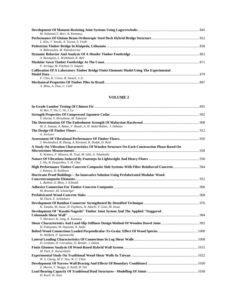| M. Nakatani.T. Mori. K. Komatsu.                                                       |  |
|----------------------------------------------------------------------------------------|--|
|                                                                                        |  |
| L. Kiss, T. Sasaki, A. Toyota, S. Usuki                                                |  |
|                                                                                        |  |
| A. Baltrusaitis, M. Kasiulevicius                                                      |  |
|                                                                                        |  |
| A. Ronnquist, L. Wollebaek, K. Bell                                                    |  |
|                                                                                        |  |
| F. Arriaga, M. Esteban, G. Iniguez                                                     |  |
| Calibration Of A Laboratory Timber Bridge Finite Elements Model Using The Experimental |  |
|                                                                                        |  |
| F. Choi. K. Crews. B. Samali. J. Li                                                    |  |
|                                                                                        |  |
| A. Mina, A. Dias, C. Calil                                                             |  |

### **VOLUME 2**

| H. Ren, Y. Yin, C. Ni, J. Lu                                                                 |  |
|----------------------------------------------------------------------------------------------|--|
| Y. Horita, Y. Hirashima, M. Takeuchi                                                         |  |
| M. Z. Jumaat, A. Bakar, F. Razali, A. H. Abdul Rahim, J. Othman                              |  |
| A. Jorissen                                                                                  |  |
|                                                                                              |  |
| J. Weckendorf, B. Zhang, A. Kermani, R. Dodyk, D. Reid                                       |  |
| A Study On Vibration Characteristics Of Wooden Structure On Each Construction Phase Based On |  |
|                                                                                              |  |
| K. Kohara, F. Misawa, M. Tsuji, M. Ishii, A. Takahashi                                       |  |
| L. Hu, R. Desjardins, Y. H. Chui                                                             |  |
| J. Kanocz, D. Kulikova                                                                       |  |
| Hurricane Proof Buildings - An Innovative Solution Using Prefabricated Modular Wood-         |  |
|                                                                                              |  |
| L. Bathon, O. Bletz, J. Schmidt                                                              |  |
| M. Brunner, M. Schnuriger                                                                    |  |
|                                                                                              |  |
| M. Flach, F. Schönborn                                                                       |  |
|                                                                                              |  |
| K. Tanaka, M. Inoue, H. Fujihara, H. Adachi, Y. Goto, M. Inoue                               |  |
| Development Of "Kusabi-Nageshi" Timber Joint System And The Applied "Staggered               |  |
| T. Shiratori, K. Jung, K. Komatsu                                                            |  |
| H. Fukuyama, M. Inayama, N. Ando                                                             |  |
| H. Habkirk, P. Quenneville                                                                   |  |
| D. Graham, D. Carradine, D. Bender, J. Dolan                                                 |  |
| M. Park, E. Karacebeyli                                                                      |  |
| W. S. Chang, M. F. Hsu, W. C. Chen                                                           |  |
| Z. Martin, T. Skaggs, E. Keith, B. Yeh                                                       |  |
| H. Koch, W. Seim                                                                             |  |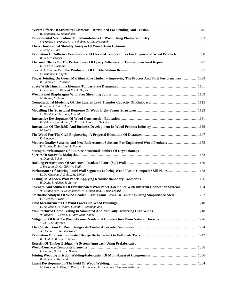| R. Brandner, G. Schickhofer                                                                                                                                        |  |
|--------------------------------------------------------------------------------------------------------------------------------------------------------------------|--|
|                                                                                                                                                                    |  |
| S. Franke, B. Franke, K. U. Schober, K. Rautenstrauch                                                                                                              |  |
| X. Song, F. Lam<br>Evaluation Of Adhesive Performance At Elevated Temperatures For Engineered Wood Products  1068                                                  |  |
| B. Yeh, R. Brooks                                                                                                                                                  |  |
| H. Cruz, J. Custodio                                                                                                                                               |  |
| M. Brunner, I. Engels                                                                                                                                              |  |
| Finger Jointing On Green Maritime Pine Timber - Improving The Process And Final Performances  1093<br>R. Pommier, P. Morlier                                       |  |
|                                                                                                                                                                    |  |
| H. Zhang, D. J. Ridley-Ellis, A. Hapca                                                                                                                             |  |
| M. Kessel, M. Meyer                                                                                                                                                |  |
| B. Wang, X. Liu, F. Lam                                                                                                                                            |  |
| G. Doudak, G. Mcclure, I. Smith                                                                                                                                    |  |
|                                                                                                                                                                    |  |
| K. Vahtikari, A. Mauno, M. Kairi, I. Absetz, P. Heikkinen                                                                                                          |  |
| M. Kairi                                                                                                                                                           |  |
| R. Bittencourt                                                                                                                                                     |  |
| Modern Quality Systems And New Enforcement Solutions For Engineered Wood Products  1155<br>R. Brooks, K. Stochlia, A. Kuchar                                       |  |
| <b>Strength Performance Of Full-Size Structural Timber Of Dryobalanops</b>                                                                                         |  |
| A. Duju, B. Bakar                                                                                                                                                  |  |
|                                                                                                                                                                    |  |
| J. Bregulla, D. Griffiths, V. Enjily<br>Performance Of Bracing Panel Wall Segments Utilizing Wood Plastic Composite Sill Plates  1178                              |  |
| K. Du Chateau, J. Dolan, M. Wolcott                                                                                                                                |  |
| B. Dujic, S. Aicher, R. Zarnic                                                                                                                                     |  |
| Strength And Stiffness Of Prefabricated Wall Panel Assemblies With Different Connection Systems 1194<br>W. Munoz Toro, A. Salenikovich, M. Mohammad, R. Beauregard |  |
| Stochastic Analysis Of Wind Loaded Light-Frame Low-Rise Buildings Using Simplified Models 1202<br>C. Fischer, B. Kasal                                             |  |
|                                                                                                                                                                    |  |
| G. Doudak, G. Mcclure, I. Smith, T. Stathopoulos                                                                                                                   |  |
| W. Richins, T. Larson, J. Lacy, Ryan Kobbe                                                                                                                         |  |
| Y. Li, B. Ellingwood                                                                                                                                               |  |
| A. Doehrer, K. Rautenstrauch                                                                                                                                       |  |
| K. Dahl, N. Bovim, K. Malo                                                                                                                                         |  |
| Retrofit Of Timber Bridges - A System Approach Using Prefabricated                                                                                                 |  |
| L. Bathon, O. Bletz, R. Bahmer                                                                                                                                     |  |
|                                                                                                                                                                    |  |
| B. Stamm, Y. Weinand                                                                                                                                               |  |
| M. Properzi, A. Pizzi, L. Resch, J. F. Bocquet, F. Pichelin, C. Ganne-Chedeville                                                                                   |  |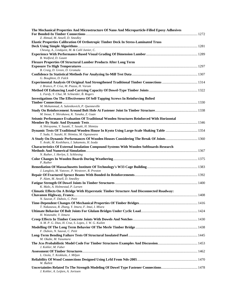| The Mechanical Properties And Microstructure Of Nano And Microparticle-Filled Epoxy Adhesives                                              |  |
|--------------------------------------------------------------------------------------------------------------------------------------------|--|
| Z. Ahmad, M. Ansell, D. Smedley                                                                                                            |  |
| <b>Elastic Properties Calibration Of Orthotropic Timber Deck In Stress-Laminated Truss</b>                                                 |  |
| Cheung, A., Lindquist, M. & Calil Junior, C.                                                                                               |  |
| B. Walford, D. Gaunt                                                                                                                       |  |
| Flexure Properties Of Structural Lumber Products After Long Term                                                                           |  |
| B. Craig, D. Green, D. Gromala                                                                                                             |  |
| G. Boughton, D. Falck                                                                                                                      |  |
| J. Branco, P. Cruz, M. Piazza, H. Varum                                                                                                    |  |
| L. Fardy, Y. Chui, M. Schneider, B. Rogers                                                                                                 |  |
| Investigations On The Effectiveness Of Self-Tapping Screws In Reinforcing Bolted                                                           |  |
| M. Mohammad, A. Salenikovich, P. Quenneville                                                                                               |  |
| M. Inoue, Y. Shirakawa, K. Tanaka, Z. Guan<br>Seismic Performance Evaluation Of Traditional Wooden Structures Reinforced With Horizontal   |  |
| A. Shirayama, Y. Suzuki, T. Sasaki, H. Shimizu<br>Dynamic Tests Of Traditional Wooden House In Kyoto Using Large-Scale Shaking Table  1354 |  |
| T. Suda, Y. Suzuki, H. Shimizu, M. Ogasawara                                                                                               |  |
| A Study On Dynamic Performances Of Wooden Houses Considering The Break Of Joints 1360<br>Y. Araki, M. Koshihara, I. Sakamoto, H. Isoda     |  |
| <b>Characteristics Of External Insulation Compound Systems With Wooden Softboards-Research</b><br>N. Ruther, J. Herlyn, S. Schliesing      |  |
|                                                                                                                                            |  |
| P. Ruther                                                                                                                                  |  |
| J. Langlois, M. Vatovec, P. Westover, R. Preston<br>P. Alam, M. Ansell, D. Smedley                                                         |  |
| K. Malo, A. Holmestad, P. Larsen                                                                                                           |  |
| Climatic Effects On A Bridge With Hyperstatic Timber Structure And Disconnected Roadway:                                                   |  |
| N. Sauvat, F. Dubois, C. Petit                                                                                                             |  |
|                                                                                                                                            |  |
| T. Nakazawa, R. Zhang, Y. Imura, F. Imai, I. Miura                                                                                         |  |
| H. Watanabe, Y. Iimura                                                                                                                     |  |
| A. M. P. G. Dias, H. Cruz, S. Lopes, J. W. G. Kuilen<br>F. Dubois, N. Sauvat, C. Petit                                                     |  |
| M. Okabe, M. Yasumura                                                                                                                      |  |
| J. Kohler, M. Faber                                                                                                                        |  |
|                                                                                                                                            |  |
| L. Ozola, T. Keskkula, J. Miljan<br>W. Bulleit                                                                                             |  |
| J. Kohler, A. Leijten, A. Jorissen                                                                                                         |  |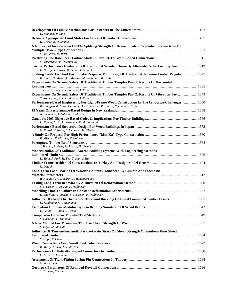| D. Rammer, P. Line.                                                                                                                                                                     |  |
|-----------------------------------------------------------------------------------------------------------------------------------------------------------------------------------------|--|
| K. Crews, B. Hutchings                                                                                                                                                                  |  |
| A Numerical Investigation On The Splitting Strength Of Beams Loaded Perpendicular-To-Grain By                                                                                           |  |
| M. Ballerini, M. Rizzi<br>M. Bickerdike, P. Quenneville                                                                                                                                 |  |
| Seismic Performance Evaluation Of Traditional Wooden House By Alternate Cyclic Loading Test  1519<br>H. Nakaji, Y. Suzuki, M. Gotou, I. Iwamoto                                         |  |
| Shaking Table Test And Earthquake Response Monitoring Of Traditional Japanese Timber Pagoda  1527<br>K. Fujita, N. Kawai, C. Minowa, M. Koshihara, K. Chiba                             |  |
| Experiments On Seismic Safety Of Traditional Timber Temples Part 1: Results Of Horizontal                                                                                               |  |
| T. Ono, Y. Kameyama, A. Sato, T. Kanno<br>Experiments On Seismic Safety Of Traditional Timber Temples Part 2: Results Of Vibration Test  1543<br>Y. Kameyama, T. Ono, A. Sato, T. Kanno |  |
| Performance-Based Engineering For Light-Frame Wood Construction In The Us: Status-Challenges 1550<br>B. Ellingwood, J. Van De Lindt, D. Gromala, D. Rosowsky, R. Gupta, S. Pryor        |  |
| A. Buchanan, T. Gibson, H. Morris                                                                                                                                                       |  |
| H. Rainer, C. Ni, E. Karacabeyli, M. Popovski                                                                                                                                           |  |
| N. Kawai, H. Isoda, I. Sakamoto, H. Okada                                                                                                                                               |  |
| F. Misawa, Y. Misawa, K. Kohara                                                                                                                                                         |  |
| J. Branco, P. Cruz, M. Piazza, H. Varum<br><b>Modernization Of Traditional Korean Building Systems With Engineering Methods</b>                                                         |  |
| K. Shim, J. Park, H. Yeo, Y. Kim, J. Han                                                                                                                                                |  |
| N. Oztank                                                                                                                                                                               |  |
| Long-Term Load Bearing Of Wooden Columns Influenced By Climate And Stochastic                                                                                                           |  |
| R. Hartnack, A. Doehrer, K. Rautenstrauch                                                                                                                                               |  |
| S. Svensson, T. Astrup, P. Hoffmeyer                                                                                                                                                    |  |
| E. Engelund, T. Astrup, S. Svensson, P. Hoffmeyer<br>Influence Of Creep On The Lateral Torsional Buckling Of Glued Laminated Timber Beams 1635<br>U. Kuhlmann, G. Teichmann             |  |
| H. Gotou, T. Chida, S. Usuki                                                                                                                                                            |  |
| S. Harrison, D. Hindman                                                                                                                                                                 |  |
| S. Ukyo, M. Masuda                                                                                                                                                                      |  |
| Influence Of Tension-Perpendicular-To-Grain Stress On Shear Strength Of Southern Pine Glued                                                                                             |  |
| V. Gopu, Y. Chen                                                                                                                                                                        |  |
| B. Murty, A. Asiz, I. Smith, S. Lai<br>G. Coste, A. Kermani                                                                                                                             |  |
| M. Robertson                                                                                                                                                                            |  |
| T. Tannert, F. Lam                                                                                                                                                                      |  |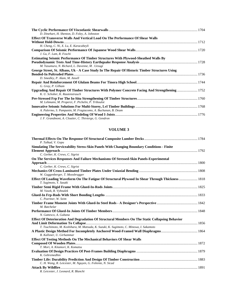| D. Dinehart, H. Shenton, D. Foley, A. Johnston                                                 |  |
|------------------------------------------------------------------------------------------------|--|
| Effect Of Transverse Walls And Vertical Load On The Performance Of Shear Walls                 |  |
|                                                                                                |  |
| H. Cheng, C. Ni, X. Lu, E. Karacabeyli                                                         |  |
| J. Gu, F. Lam, R. Foschi                                                                       |  |
| <b>Estimating Seismic Performance Of Timber Structures With Plywood-Sheathed Walls By</b>      |  |
|                                                                                                |  |
| M. Yasumura, N. Richard, L. Davenne, M. Uesugi                                                 |  |
| George Street, St. Albans, Uk - A Case Study In The Repair Of Historic Timber Structures Using |  |
|                                                                                                |  |
| D. Smedley, P. Alam, M. Ansell                                                                 |  |
|                                                                                                |  |
| G. Gray, P. Gilham                                                                             |  |
| Upgrading And Repair Of Timber Structures With Polymer Concrete Facing And Strengthening  1752 |  |
| K. U. Schober, K. Rautenstrauch                                                                |  |
|                                                                                                |  |
| M. Lehmann, M. Properzi, F. Pichelin, P. Triboulot                                             |  |
|                                                                                                |  |
| A. Palermo, S. Pampanin, M. Fragiacomo, A. Buchanan, B. Deam                                   |  |
|                                                                                                |  |
| J. F. Grandmont, A. Cloutier, C. Thivierge, G. Gendron                                         |  |

#### **VOLUME 3**

| P. Talkad, V. Gopu                                                                                                         |  |
|----------------------------------------------------------------------------------------------------------------------------|--|
| Simulating The Serviceability Stress-Skin Panels With Changing Boundary Conditions - Finite                                |  |
|                                                                                                                            |  |
| C. Gerber, K. Crews, C. Sigrist                                                                                            |  |
| On The Services Responses And Failure Mechanisms Of Stressed-Skin Panels-Experimental                                      |  |
|                                                                                                                            |  |
| C. Gerber, K. Crews, C. Sigrist                                                                                            |  |
| W. Guggenberger, T. Moosbrugger                                                                                            |  |
| Effect Of Loading Waveform On The Fatigue Of Structural Plywood In Shear Through Thickness  1818<br>T. Sugimoto, Y. Sasaki |  |
| M. Vasek, R. Vyhnalek                                                                                                      |  |
|                                                                                                                            |  |
| C. Poertner, W. Seim                                                                                                       |  |
|                                                                                                                            |  |
| M. Batchelar                                                                                                               |  |
|                                                                                                                            |  |
| N. Gattesco, A. Gubana                                                                                                     |  |
| Effect Of Deterioration And Degradation Of Structural Members On The Static Collapsing Behavior                            |  |
|                                                                                                                            |  |
| T. Tsuchimoto, M. Koshihara, M. Matsuda, K. Suzuki, K. Sugimoto, C. Minowa, I. Sakamoto                                    |  |
| B. Kallsner, U. Girhammar                                                                                                  |  |
| <b>Effect Of Testing Methods On The Mechanical Behaviors Of Shear Walls</b>                                                |  |
|                                                                                                                            |  |
| T. Mori, A. Kitamori, K. Komatsu                                                                                           |  |
| K. Gebremedhin                                                                                                             |  |
|                                                                                                                            |  |
| C. H. Wang, R. Leicester, M. Nguyen, G. Foliente, N. Sicad                                                                 |  |
|                                                                                                                            |  |

*R. Leicester, J. Leonard, R. Blanchi*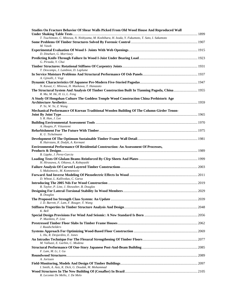| Studies On Fracture Behavior Of Shear Walls Picked From Old Wood House And Reproduced Wall                                     |  |
|--------------------------------------------------------------------------------------------------------------------------------|--|
| T. Tsuchimoto, C. Minowa, N. Nishiyama, M. Koshihara, H. Isoda, Y. Fukumoto, T. Sato, I. Sakamoto                              |  |
| M. Vasek                                                                                                                       |  |
| D. Dinehart, G. Morrissey                                                                                                      |  |
| G. Pirzada, Y. Chui                                                                                                            |  |
| T. Descamps, J. Lambion, D. Laplume                                                                                            |  |
|                                                                                                                                |  |
| A. Gjinolli, J. Vogt<br>N. Kawai, C. Minowa, H. Maekawa, T. Hanazato                                                           |  |
| The Structural System And Analysis Of Timber Construction Built In Tianning Pagoda, China 1955<br>R. Ma, M. He, H. Li, L. Feng |  |
| A Study Of Hongshan Culture The Goddess Temple Wood Construction China Prehistoric Age                                         |  |
| P. Ye, W. Ye, Z. Wang                                                                                                          |  |
| Mechanical Performance Of Korean Traditional Wooden Building Of The Column-Girder Tenon-                                       |  |
| S. R. Han, J. Lee                                                                                                              |  |
| A. Haapio, P. Viitaniemi                                                                                                       |  |
| K. U. Tichelmann                                                                                                               |  |
| R. Hairstans, R. Dodyk, A. Kermani                                                                                             |  |
| <b>Environmental Performance Of Residential Construction: An Assessment Of Processes,</b>                                      |  |
| B. Lippke, J. Perez-Garcia                                                                                                     |  |
| H. Hirasawa, A. Oikawa, A. Kobayashi                                                                                           |  |
| S. Maksimovic, M. Komnenovic                                                                                                   |  |
| D. Wheat, L. Kallivokas, C. Garza                                                                                              |  |
|                                                                                                                                |  |
| R. Taylor, P. Line, J. Showalter, B. Douglas                                                                                   |  |
| <b>B.</b> Douglas                                                                                                              |  |
| J. D. Barrett, F. Lam, F. Rouger, Y. Wang                                                                                      |  |
| K. Bell                                                                                                                        |  |
| P. Mazikins, P. Line                                                                                                           |  |
| J. Raadschelders                                                                                                               |  |
| L. Hu, R. Desjardins, E. Jones                                                                                                 |  |
| M. Valluzzi, E. Garbin, C. Modena                                                                                              |  |
| F. Lam, M. Li, J. Gu                                                                                                           |  |
|                                                                                                                                |  |
| A. Jorissen                                                                                                                    |  |
| I. Smith, A. Asiz, K. Dick, G. Doudak, M. Mohammad                                                                             |  |
| R. Lecomte De Mello, J. De Melo                                                                                                |  |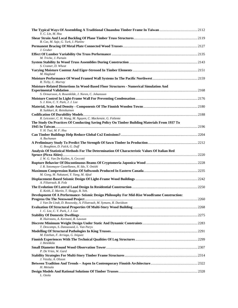| Y. C. Lin, M. Hsu                                                                                                                                              |  |
|----------------------------------------------------------------------------------------------------------------------------------------------------------------|--|
|                                                                                                                                                                |  |
| B. Cas, M. Saje, G. Turk, I. Planinc<br>J. Gruber                                                                                                              |  |
| M. Triche, J. Partain                                                                                                                                          |  |
| S. Cramer, D. Wheat                                                                                                                                            |  |
| M. Haglund                                                                                                                                                     |  |
| R. Tichy, C. Murray                                                                                                                                            |  |
| <b>Moisture-Related Distortions In Wood-Based Floor Structures - Numerical Simulation And</b>                                                                  |  |
| S. Ormarsson, A. Rosenkilde, J. Noren, C. Johansson                                                                                                            |  |
| S. J. Kim, C. Y. Park, J. J. Lee                                                                                                                               |  |
| R. Suikkari, K. Reinikainen                                                                                                                                    |  |
|                                                                                                                                                                |  |
| R. Leicester, C. H. Wang, M. Nguyen, C. Mackenzie, G. Foliente<br>The Study On Practices Of Conducting Saving Policy On Timber Building Materials From 1937 To |  |
|                                                                                                                                                                |  |
| Y. H. Tsai, M. F. Hsu                                                                                                                                          |  |
| A. Buchanan                                                                                                                                                    |  |
| G. Boughton, D. Falck, G. Duff                                                                                                                                 |  |
| Analysis Of Statistical Methods For The Determination Of Characteristic Values Of Italian Red                                                                  |  |
| J. W. G. Van De Kuilen, A. Ceccotti                                                                                                                            |  |
|                                                                                                                                                                |  |
| J. R. Sotomayor Castellanos, H. Ido, Y. Onishi                                                                                                                 |  |
| M. Gong, M. Nakatani, Y. Yang, M. Afzal                                                                                                                        |  |
| A. Filiatrault, B. Folz                                                                                                                                        |  |
| E. Keith, Z. Martin, T. Skaggs, B. Yeh.                                                                                                                        |  |
| Development Of A Performance- Seismic Design Philosophy For Mid-Rise Woodframe Construction:                                                                   |  |
| J. Van De Lindt, D. Rosowsky, A. Filiatrault, M. Symans, R. Davidson                                                                                           |  |
| I. C. Lee, C. Y. Park, J. J. Lee                                                                                                                               |  |
|                                                                                                                                                                |  |
| R. Hairstans, A. Kermani, R. Lawson<br>T. Descamps, S. Datoussaid, L. Van Parys                                                                                |  |
|                                                                                                                                                                |  |
| M. Esteban, F. Arriaga, G. Iniguez                                                                                                                             |  |
| J. Heiekkila                                                                                                                                                   |  |
| P. De Vries, W. Gard                                                                                                                                           |  |
| J. Vessby, A. Olsson                                                                                                                                           |  |
| H. Metsala                                                                                                                                                     |  |
| L. Ozola                                                                                                                                                       |  |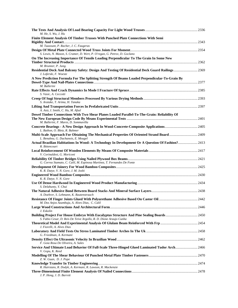| M. He, S. Wu, J. Hu                                                                                                               |  |
|-----------------------------------------------------------------------------------------------------------------------------------|--|
| Finite Element Analysis Of Timber Trusses With Punched Plate Connections With Semi                                                |  |
|                                                                                                                                   |  |
| M. Taazount, P. Racher, J. C. Faugeras                                                                                            |  |
|                                                                                                                                   |  |
| S. Lewis, N. Mason, S. Cramer, D. Wert, P. O'regan, G. Petrov, D. Goclano                                                         |  |
| On The Increasing Importance Of Tensile Loading Perpendicular To The Grain In Some New                                            |  |
| M. Brunner, P. Jung.                                                                                                              |  |
| Residential Deck And Balcony Safety: Design And Testing Of Residential Deck Guard Railings 2369<br>J. Loferski, F. Woeste         |  |
| A New Prediction Formula For The Splitting Strength Of Beams Loaded Perpendicular-To-Grain By                                     |  |
|                                                                                                                                   |  |
| M. Ballerini                                                                                                                      |  |
| S. Vasic, A. Ceccotti                                                                                                             |  |
|                                                                                                                                   |  |
| S. Aratake, T. Arima, H. Tanaka                                                                                                   |  |
|                                                                                                                                   |  |
| A. Asiz, I. Smith, C. Hu, M. Afzal                                                                                                |  |
| Dowel Timber Connections With Two Shear Planes Loaded Parallel-To-The-Grain: Reliability Of                                       |  |
| M. Ballerini, F. Mares, D. Sommavilla                                                                                             |  |
|                                                                                                                                   |  |
| L. Bathon, O. Bletz, R. Bahmer                                                                                                    |  |
| Multi-Scale Approach For Obtaining The Mechanical Properties Of Oriented Strand Board 2409<br>L. Benabou, G. Duchanois, E. Mougel |  |
| Actual Brazilian Habitations In Wood: A Technology In Development Or A Question Of Fashion? 2413                                  |  |
| R. Bittencourt                                                                                                                    |  |
|                                                                                                                                   |  |
| V. Corinaldesi, G. Moriconi                                                                                                       |  |
| G. Correa Stamato, C. Calil, M. Espinosa Martinez, T. Fernandes De Fonte                                                          |  |
|                                                                                                                                   |  |
| K. R. Datye, V. N. Gore, J. M. Joshi                                                                                              |  |
| K. R. Datye, V. N. Gore                                                                                                           |  |
|                                                                                                                                   |  |
| S. Delahunty, Y. Chui                                                                                                             |  |
|                                                                                                                                   |  |
| A. Doehrer, S. Lehmann, K. Rautenstrauch                                                                                          |  |
| M. Dos Anjos Azambuja, A. Alves Dias, C. Calil                                                                                    |  |
|                                                                                                                                   |  |
| J. Eskolin                                                                                                                        |  |
| S. Fabio Cesar, D. Reis De Teive Argollo, R. D. Dione Araujo Cunha                                                                |  |
|                                                                                                                                   |  |
| J. Fiorelli, A. Alves Dias                                                                                                        |  |
|                                                                                                                                   |  |
| G. Freedman, A. Kermani                                                                                                           |  |
| F. Goia Rosa De Oliveira, A. Sales                                                                                                |  |
| Service And Ultimate Load Behavior Of Full-Scale Three-Hinged Glued Laminated Tudor Arch 2466                                     |  |
| V. Gopu, K. Reed                                                                                                                  |  |
|                                                                                                                                   |  |
| Z. W. Guan, D. J. Pope                                                                                                            |  |
| R. Hairstans, R. Dodyk, A. Kermani, R. Lawson, R. Mackenzie                                                                       |  |
|                                                                                                                                   |  |
| J. P. Hong, J. D. Barrett                                                                                                         |  |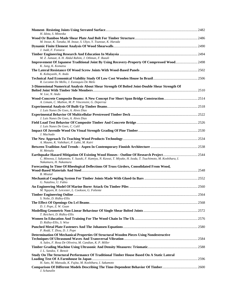| H. Idota, S. Mineoka                                                                                                                  |  |
|---------------------------------------------------------------------------------------------------------------------------------------|--|
|                                                                                                                                       |  |
| M. Inoue, K. Tanaka, M. Inoue, S. Ukyo, Y. Tsunoue, K. Harada                                                                         |  |
| J. Judd, F. Fonseca                                                                                                                   |  |
| M. Z. Jumaat, A. H. Abdul Rahim, J. Othman, F. Razali                                                                                 |  |
| Improvement Of Japanese Traditional Joint By Using Recovery-Property Of Compressed Wood 2498<br>K. Jung, K. Komatsu                   |  |
| K. Kobayashi, N. Ando                                                                                                                 |  |
| R. Lecomte De Mello, J. Eustaquio De Melo                                                                                             |  |
| 3-Dimensional Numerical Analysis About Shear Strength Of Bolted Joint-Double Shear Strength Of                                        |  |
| W. Lee, N. Ando                                                                                                                       |  |
| A. Limam, C. Mathon, M. P. Vincensini, G. Deperraz                                                                                    |  |
| J. Luis Nunes De Goes, A. Alves Dias                                                                                                  |  |
|                                                                                                                                       |  |
| J. Luis Nunes De Goes, A. Alves Dias                                                                                                  |  |
| J. Luis Nunes De Goes, C. Calil                                                                                                       |  |
| J. Machado                                                                                                                            |  |
| A. Mauno, K. Vahtikari, P. Lahti, M. Kairi                                                                                            |  |
| H. Metsala                                                                                                                            |  |
| C. Minowa, I. Sakamoto, Y. Suzuki, F. Kamiya, N. Kawai, T. Miyake, H. Isoda, T. Tsuchimoto, M. Koshihara, I.<br>Nakamura, H. Nakamura |  |
| Forecasting In Time Of Rheological Deflections Of Truss Girders, Consolidated From Wood,<br><b>B.</b> Misztal                         |  |
| G. Natalino, U. Fabio                                                                                                                 |  |
|                                                                                                                                       |  |
| M. Nguyen, R. Leicester, L. Cookson, G. Foliente                                                                                      |  |
| S. Nolte, D. Ridley-Ellis                                                                                                             |  |
|                                                                                                                                       |  |
| D. J. Pope, Z. W. Guan                                                                                                                |  |
| T. Reichert, D. Ridley-Ellis                                                                                                          |  |
| D. Ridley-Ellis, S. Wise                                                                                                              |  |
| P. Rodd, T. Zhou, D. J. Pope                                                                                                          |  |
| Determination Of Mechanical Properties Of Structural Wooden Pieces Using Nondestructive                                               |  |
| A. Sales, F. Rosa De Oliveira, M. Candian, K. P. Miller                                                                               |  |
| J. L. Sandoz, Y. Benoit                                                                                                               |  |
| Study On The Structural Performance Of Traditional Timber House Based On A Static Lateral                                             |  |
| H. Sato, M. Matsuda, K. Fujita, M. Koshihara, I. Sakamoto                                                                             |  |
| J. Schanzlin                                                                                                                          |  |